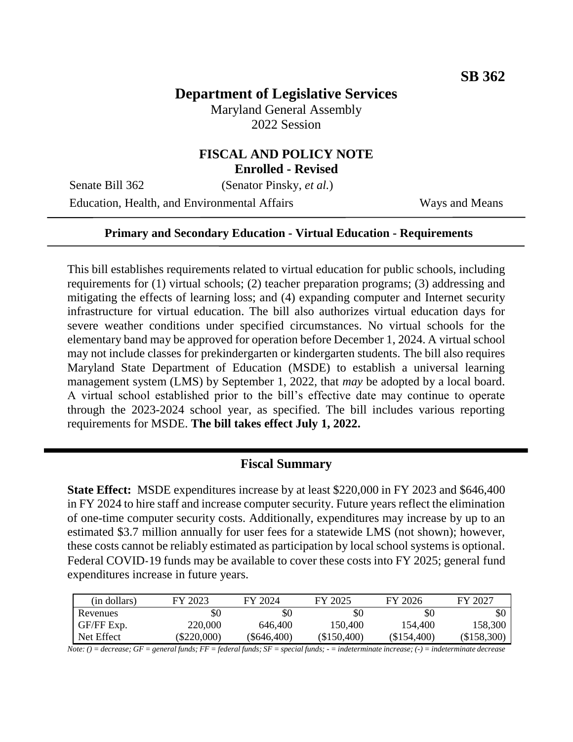# **Department of Legislative Services**

Maryland General Assembly 2022 Session

# **FISCAL AND POLICY NOTE**

**Enrolled - Revised**

Senate Bill 362 (Senator Pinsky, *et al.*)

Education, Health, and Environmental Affairs Ways and Means

#### **Primary and Secondary Education - Virtual Education - Requirements**

This bill establishes requirements related to virtual education for public schools, including requirements for (1) virtual schools; (2) teacher preparation programs; (3) addressing and mitigating the effects of learning loss; and (4) expanding computer and Internet security infrastructure for virtual education. The bill also authorizes virtual education days for severe weather conditions under specified circumstances. No virtual schools for the elementary band may be approved for operation before December 1, 2024. A virtual school may not include classes for prekindergarten or kindergarten students. The bill also requires Maryland State Department of Education (MSDE) to establish a universal learning management system (LMS) by September 1, 2022, that *may* be adopted by a local board. A virtual school established prior to the bill's effective date may continue to operate through the 2023-2024 school year, as specified. The bill includes various reporting requirements for MSDE. **The bill takes effect July 1, 2022.**

#### **Fiscal Summary**

**State Effect:** MSDE expenditures increase by at least \$220,000 in FY 2023 and \$646,400 in FY 2024 to hire staff and increase computer security. Future years reflect the elimination of one-time computer security costs. Additionally, expenditures may increase by up to an estimated \$3.7 million annually for user fees for a statewide LMS (not shown); however, these costs cannot be reliably estimated as participation by local school systems is optional. Federal COVID-19 funds may be available to cover these costs into FY 2025; general fund expenditures increase in future years.

| (in dollars) | FY 2023     | FY 2024     | FY 2025     | FY 2026     | FY 2027       |
|--------------|-------------|-------------|-------------|-------------|---------------|
| Revenues     | \$0         | \$0         | \$0         | \$0         | \$0           |
| GF/FF Exp.   | 220,000     | 646,400     | 150.400     | 154.400     | 158.300       |
| Net Effect   | (\$220,000) | (\$646.400) | (\$150,400) | (\$154,400) | $(\$158,300)$ |

*Note: () = decrease; GF = general funds; FF = federal funds; SF = special funds; - = indeterminate increase; (-) = indeterminate decrease*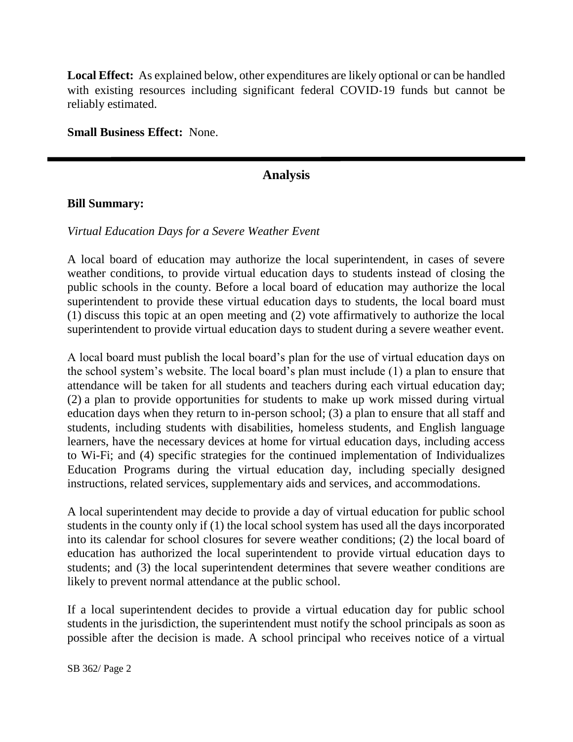**Local Effect:** As explained below, other expenditures are likely optional or can be handled with existing resources including significant federal COVID-19 funds but cannot be reliably estimated.

**Small Business Effect:** None.

## **Analysis**

#### **Bill Summary:**

#### *Virtual Education Days for a Severe Weather Event*

A local board of education may authorize the local superintendent, in cases of severe weather conditions, to provide virtual education days to students instead of closing the public schools in the county. Before a local board of education may authorize the local superintendent to provide these virtual education days to students, the local board must (1) discuss this topic at an open meeting and (2) vote affirmatively to authorize the local superintendent to provide virtual education days to student during a severe weather event.

A local board must publish the local board's plan for the use of virtual education days on the school system's website. The local board's plan must include (1) a plan to ensure that attendance will be taken for all students and teachers during each virtual education day; (2) a plan to provide opportunities for students to make up work missed during virtual education days when they return to in-person school; (3) a plan to ensure that all staff and students, including students with disabilities, homeless students, and English language learners, have the necessary devices at home for virtual education days, including access to Wi-Fi; and (4) specific strategies for the continued implementation of Individualizes Education Programs during the virtual education day, including specially designed instructions, related services, supplementary aids and services, and accommodations.

A local superintendent may decide to provide a day of virtual education for public school students in the county only if (1) the local school system has used all the days incorporated into its calendar for school closures for severe weather conditions; (2) the local board of education has authorized the local superintendent to provide virtual education days to students; and (3) the local superintendent determines that severe weather conditions are likely to prevent normal attendance at the public school.

If a local superintendent decides to provide a virtual education day for public school students in the jurisdiction, the superintendent must notify the school principals as soon as possible after the decision is made. A school principal who receives notice of a virtual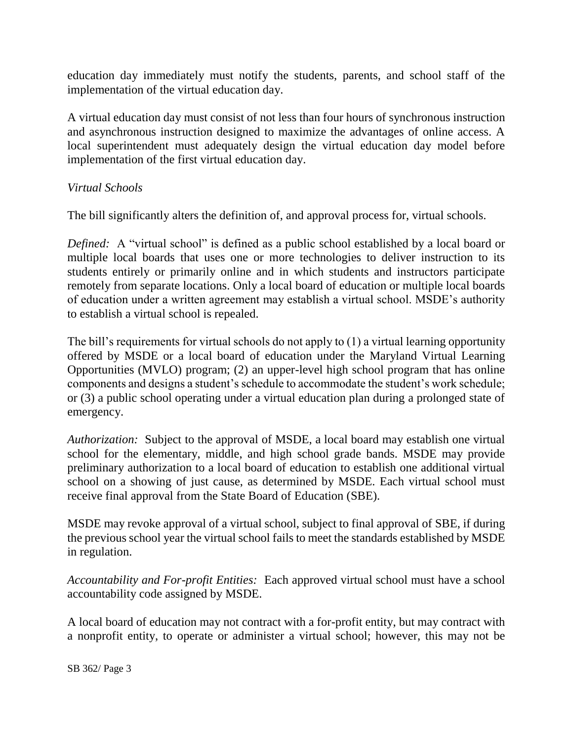education day immediately must notify the students, parents, and school staff of the implementation of the virtual education day.

A virtual education day must consist of not less than four hours of synchronous instruction and asynchronous instruction designed to maximize the advantages of online access. A local superintendent must adequately design the virtual education day model before implementation of the first virtual education day.

## *Virtual Schools*

The bill significantly alters the definition of, and approval process for, virtual schools.

*Defined:* A "virtual school" is defined as a public school established by a local board or multiple local boards that uses one or more technologies to deliver instruction to its students entirely or primarily online and in which students and instructors participate remotely from separate locations. Only a local board of education or multiple local boards of education under a written agreement may establish a virtual school. MSDE's authority to establish a virtual school is repealed.

The bill's requirements for virtual schools do not apply to (1) a virtual learning opportunity offered by MSDE or a local board of education under the Maryland Virtual Learning Opportunities (MVLO) program; (2) an upper-level high school program that has online components and designs a student's schedule to accommodate the student's work schedule; or (3) a public school operating under a virtual education plan during a prolonged state of emergency.

*Authorization:* Subject to the approval of MSDE, a local board may establish one virtual school for the elementary, middle, and high school grade bands. MSDE may provide preliminary authorization to a local board of education to establish one additional virtual school on a showing of just cause, as determined by MSDE. Each virtual school must receive final approval from the State Board of Education (SBE).

MSDE may revoke approval of a virtual school, subject to final approval of SBE, if during the previous school year the virtual school fails to meet the standards established by MSDE in regulation.

*Accountability and For-profit Entities:* Each approved virtual school must have a school accountability code assigned by MSDE.

A local board of education may not contract with a for-profit entity, but may contract with a nonprofit entity, to operate or administer a virtual school; however, this may not be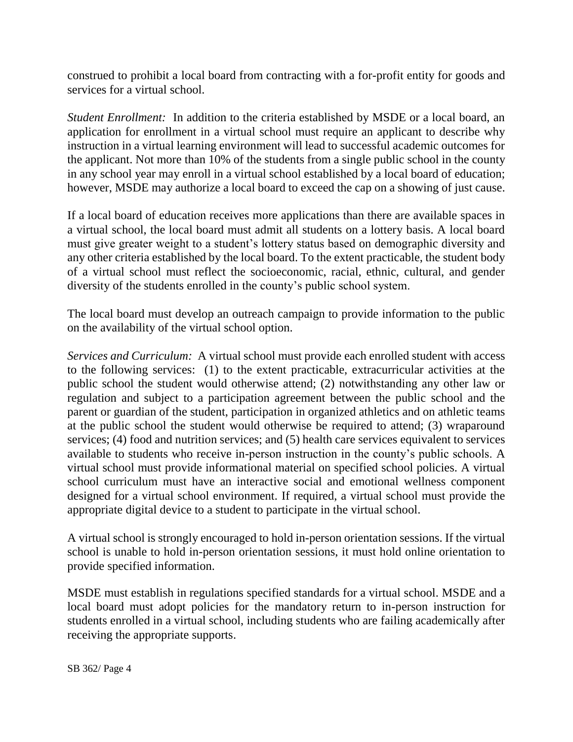construed to prohibit a local board from contracting with a for-profit entity for goods and services for a virtual school.

*Student Enrollment:* In addition to the criteria established by MSDE or a local board, an application for enrollment in a virtual school must require an applicant to describe why instruction in a virtual learning environment will lead to successful academic outcomes for the applicant. Not more than 10% of the students from a single public school in the county in any school year may enroll in a virtual school established by a local board of education; however, MSDE may authorize a local board to exceed the cap on a showing of just cause.

If a local board of education receives more applications than there are available spaces in a virtual school, the local board must admit all students on a lottery basis. A local board must give greater weight to a student's lottery status based on demographic diversity and any other criteria established by the local board. To the extent practicable, the student body of a virtual school must reflect the socioeconomic, racial, ethnic, cultural, and gender diversity of the students enrolled in the county's public school system.

The local board must develop an outreach campaign to provide information to the public on the availability of the virtual school option.

*Services and Curriculum:* A virtual school must provide each enrolled student with access to the following services: (1) to the extent practicable, extracurricular activities at the public school the student would otherwise attend; (2) notwithstanding any other law or regulation and subject to a participation agreement between the public school and the parent or guardian of the student, participation in organized athletics and on athletic teams at the public school the student would otherwise be required to attend; (3) wraparound services; (4) food and nutrition services; and (5) health care services equivalent to services available to students who receive in-person instruction in the county's public schools. A virtual school must provide informational material on specified school policies. A virtual school curriculum must have an interactive social and emotional wellness component designed for a virtual school environment. If required, a virtual school must provide the appropriate digital device to a student to participate in the virtual school.

A virtual school is strongly encouraged to hold in-person orientation sessions. If the virtual school is unable to hold in-person orientation sessions, it must hold online orientation to provide specified information.

MSDE must establish in regulations specified standards for a virtual school. MSDE and a local board must adopt policies for the mandatory return to in-person instruction for students enrolled in a virtual school, including students who are failing academically after receiving the appropriate supports.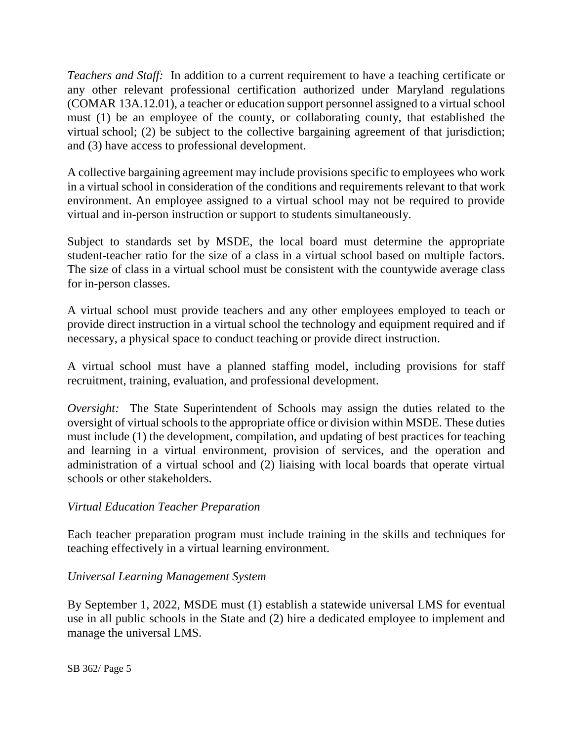*Teachers and Staff:* In addition to a current requirement to have a teaching certificate or any other relevant professional certification authorized under Maryland regulations (COMAR 13A.12.01), a teacher or education support personnel assigned to a virtual school must (1) be an employee of the county, or collaborating county, that established the virtual school; (2) be subject to the collective bargaining agreement of that jurisdiction; and (3) have access to professional development.

A collective bargaining agreement may include provisions specific to employees who work in a virtual school in consideration of the conditions and requirements relevant to that work environment. An employee assigned to a virtual school may not be required to provide virtual and in-person instruction or support to students simultaneously.

Subject to standards set by MSDE, the local board must determine the appropriate student-teacher ratio for the size of a class in a virtual school based on multiple factors. The size of class in a virtual school must be consistent with the countywide average class for in-person classes.

A virtual school must provide teachers and any other employees employed to teach or provide direct instruction in a virtual school the technology and equipment required and if necessary, a physical space to conduct teaching or provide direct instruction.

A virtual school must have a planned staffing model, including provisions for staff recruitment, training, evaluation, and professional development.

*Oversight:* The State Superintendent of Schools may assign the duties related to the oversight of virtual schools to the appropriate office or division within MSDE. These duties must include (1) the development, compilation, and updating of best practices for teaching and learning in a virtual environment, provision of services, and the operation and administration of a virtual school and (2) liaising with local boards that operate virtual schools or other stakeholders.

## *Virtual Education Teacher Preparation*

Each teacher preparation program must include training in the skills and techniques for teaching effectively in a virtual learning environment.

## *Universal Learning Management System*

By September 1, 2022, MSDE must (1) establish a statewide universal LMS for eventual use in all public schools in the State and (2) hire a dedicated employee to implement and manage the universal LMS.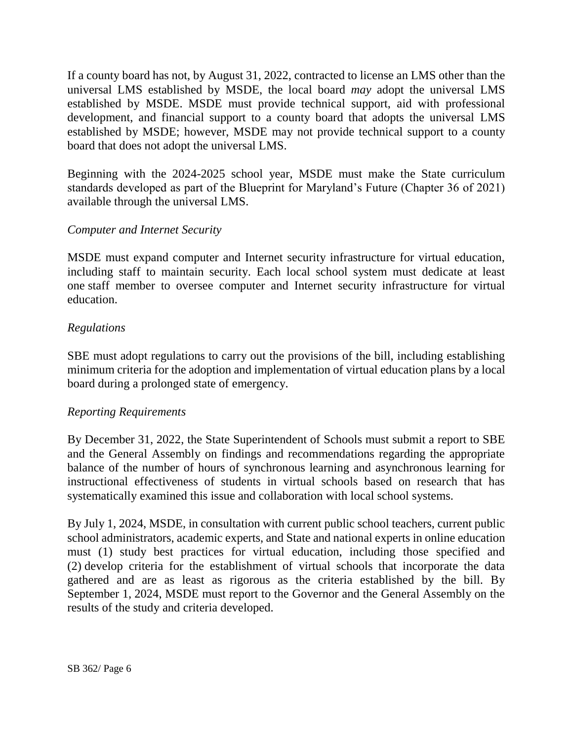If a county board has not, by August 31, 2022, contracted to license an LMS other than the universal LMS established by MSDE, the local board *may* adopt the universal LMS established by MSDE. MSDE must provide technical support, aid with professional development, and financial support to a county board that adopts the universal LMS established by MSDE; however, MSDE may not provide technical support to a county board that does not adopt the universal LMS.

Beginning with the 2024-2025 school year, MSDE must make the State curriculum standards developed as part of the Blueprint for Maryland's Future (Chapter 36 of 2021) available through the universal LMS.

## *Computer and Internet Security*

MSDE must expand computer and Internet security infrastructure for virtual education, including staff to maintain security. Each local school system must dedicate at least one staff member to oversee computer and Internet security infrastructure for virtual education.

## *Regulations*

SBE must adopt regulations to carry out the provisions of the bill, including establishing minimum criteria for the adoption and implementation of virtual education plans by a local board during a prolonged state of emergency.

## *Reporting Requirements*

By December 31, 2022, the State Superintendent of Schools must submit a report to SBE and the General Assembly on findings and recommendations regarding the appropriate balance of the number of hours of synchronous learning and asynchronous learning for instructional effectiveness of students in virtual schools based on research that has systematically examined this issue and collaboration with local school systems.

By July 1, 2024, MSDE, in consultation with current public school teachers, current public school administrators, academic experts, and State and national experts in online education must (1) study best practices for virtual education, including those specified and (2) develop criteria for the establishment of virtual schools that incorporate the data gathered and are as least as rigorous as the criteria established by the bill. By September 1, 2024, MSDE must report to the Governor and the General Assembly on the results of the study and criteria developed.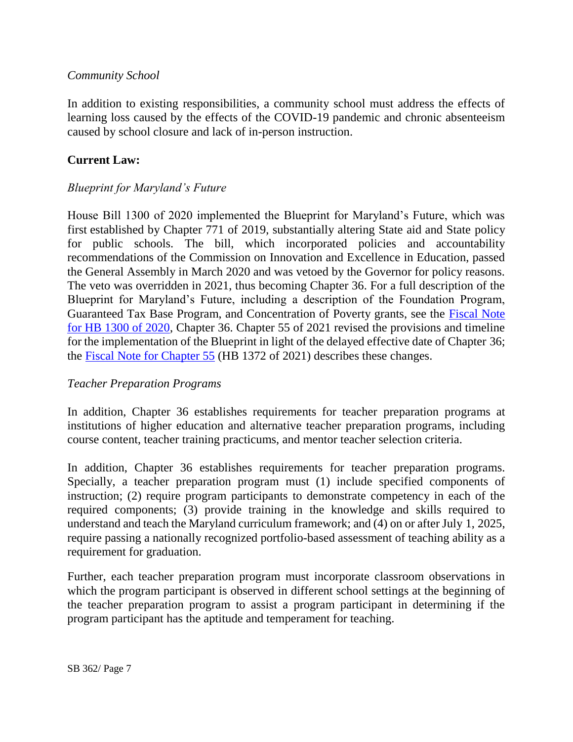## *Community School*

In addition to existing responsibilities, a community school must address the effects of learning loss caused by the effects of the COVID-19 pandemic and chronic absenteeism caused by school closure and lack of in-person instruction.

#### **Current Law:**

## *Blueprint for Maryland's Future*

House Bill 1300 of 2020 implemented the Blueprint for Maryland's Future, which was first established by Chapter 771 of 2019, substantially altering State aid and State policy for public schools. The bill, which incorporated policies and accountability recommendations of the Commission on Innovation and Excellence in Education, passed the General Assembly in March 2020 and was vetoed by the Governor for policy reasons. The veto was overridden in 2021, thus becoming Chapter 36. For a full description of the Blueprint for Maryland's Future, including a description of the Foundation Program, Guaranteed Tax Base Program, and Concentration of Poverty grants, see the [Fiscal Note](http://mgaleg.maryland.gov/2020RS/fnotes/bil_0000/hb1300.pdf)  [for HB 1300 of 2020,](http://mgaleg.maryland.gov/2020RS/fnotes/bil_0000/hb1300.pdf) Chapter 36. Chapter 55 of 2021 revised the provisions and timeline for the implementation of the Blueprint in light of the delayed effective date of Chapter 36; the [Fiscal Note for Chapter 55](https://mgaleg.maryland.gov/2021RS/fnotes/bil_0002/hb1372.pdf) (HB 1372 of 2021) describes these changes.

#### *Teacher Preparation Programs*

In addition, Chapter 36 establishes requirements for teacher preparation programs at institutions of higher education and alternative teacher preparation programs, including course content, teacher training practicums, and mentor teacher selection criteria.

In addition, Chapter 36 establishes requirements for teacher preparation programs. Specially, a teacher preparation program must (1) include specified components of instruction; (2) require program participants to demonstrate competency in each of the required components; (3) provide training in the knowledge and skills required to understand and teach the Maryland curriculum framework; and (4) on or after July 1, 2025, require passing a nationally recognized portfolio-based assessment of teaching ability as a requirement for graduation.

Further, each teacher preparation program must incorporate classroom observations in which the program participant is observed in different school settings at the beginning of the teacher preparation program to assist a program participant in determining if the program participant has the aptitude and temperament for teaching.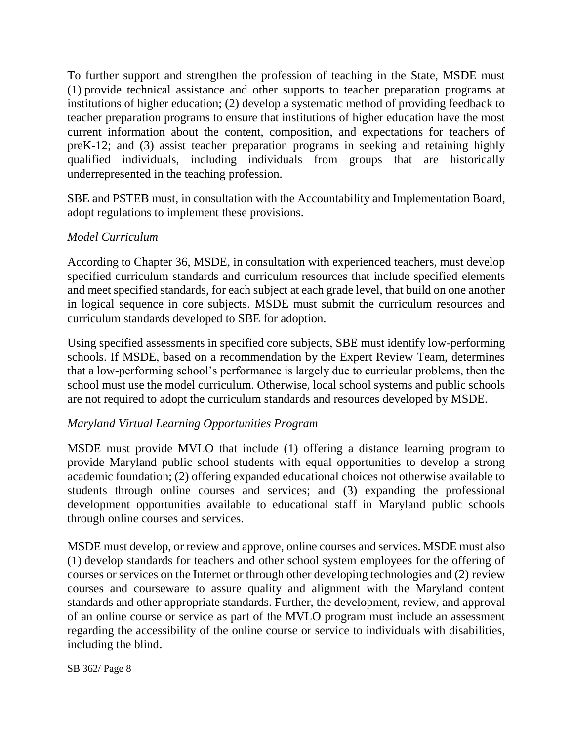To further support and strengthen the profession of teaching in the State, MSDE must (1) provide technical assistance and other supports to teacher preparation programs at institutions of higher education; (2) develop a systematic method of providing feedback to teacher preparation programs to ensure that institutions of higher education have the most current information about the content, composition, and expectations for teachers of preK-12; and (3) assist teacher preparation programs in seeking and retaining highly qualified individuals, including individuals from groups that are historically underrepresented in the teaching profession.

SBE and PSTEB must, in consultation with the Accountability and Implementation Board, adopt regulations to implement these provisions.

## *Model Curriculum*

According to Chapter 36, MSDE, in consultation with experienced teachers, must develop specified curriculum standards and curriculum resources that include specified elements and meet specified standards, for each subject at each grade level, that build on one another in logical sequence in core subjects. MSDE must submit the curriculum resources and curriculum standards developed to SBE for adoption.

Using specified assessments in specified core subjects, SBE must identify low-performing schools. If MSDE, based on a recommendation by the Expert Review Team, determines that a low-performing school's performance is largely due to curricular problems, then the school must use the model curriculum. Otherwise, local school systems and public schools are not required to adopt the curriculum standards and resources developed by MSDE.

## *Maryland Virtual Learning Opportunities Program*

MSDE must provide MVLO that include (1) offering a distance learning program to provide Maryland public school students with equal opportunities to develop a strong academic foundation; (2) offering expanded educational choices not otherwise available to students through online courses and services; and (3) expanding the professional development opportunities available to educational staff in Maryland public schools through online courses and services.

MSDE must develop, or review and approve, online courses and services. MSDE must also (1) develop standards for teachers and other school system employees for the offering of courses or services on the Internet or through other developing technologies and (2) review courses and courseware to assure quality and alignment with the Maryland content standards and other appropriate standards. Further, the development, review, and approval of an online course or service as part of the MVLO program must include an assessment regarding the accessibility of the online course or service to individuals with disabilities, including the blind.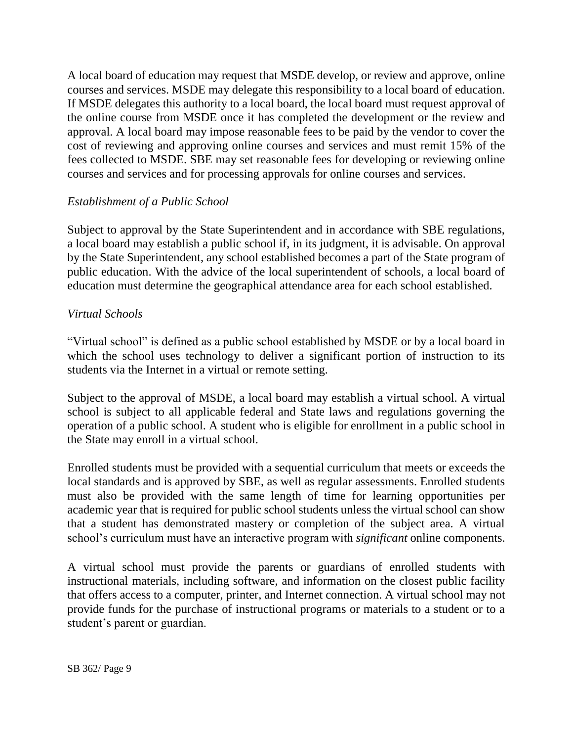A local board of education may request that MSDE develop, or review and approve, online courses and services. MSDE may delegate this responsibility to a local board of education. If MSDE delegates this authority to a local board, the local board must request approval of the online course from MSDE once it has completed the development or the review and approval. A local board may impose reasonable fees to be paid by the vendor to cover the cost of reviewing and approving online courses and services and must remit 15% of the fees collected to MSDE. SBE may set reasonable fees for developing or reviewing online courses and services and for processing approvals for online courses and services.

## *Establishment of a Public School*

Subject to approval by the State Superintendent and in accordance with SBE regulations, a local board may establish a public school if, in its judgment, it is advisable. On approval by the State Superintendent, any school established becomes a part of the State program of public education. With the advice of the local superintendent of schools, a local board of education must determine the geographical attendance area for each school established.

## *Virtual Schools*

"Virtual school" is defined as a public school established by MSDE or by a local board in which the school uses technology to deliver a significant portion of instruction to its students via the Internet in a virtual or remote setting.

Subject to the approval of MSDE, a local board may establish a virtual school. A virtual school is subject to all applicable federal and State laws and regulations governing the operation of a public school. A student who is eligible for enrollment in a public school in the State may enroll in a virtual school.

Enrolled students must be provided with a sequential curriculum that meets or exceeds the local standards and is approved by SBE, as well as regular assessments. Enrolled students must also be provided with the same length of time for learning opportunities per academic year that is required for public school students unless the virtual school can show that a student has demonstrated mastery or completion of the subject area. A virtual school's curriculum must have an interactive program with *significant* online components.

A virtual school must provide the parents or guardians of enrolled students with instructional materials, including software, and information on the closest public facility that offers access to a computer, printer, and Internet connection. A virtual school may not provide funds for the purchase of instructional programs or materials to a student or to a student's parent or guardian.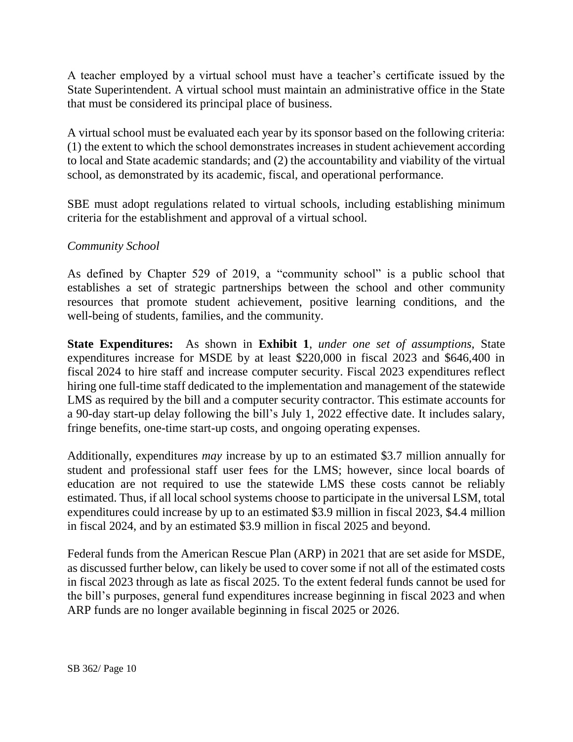A teacher employed by a virtual school must have a teacher's certificate issued by the State Superintendent. A virtual school must maintain an administrative office in the State that must be considered its principal place of business.

A virtual school must be evaluated each year by its sponsor based on the following criteria: (1) the extent to which the school demonstrates increases in student achievement according to local and State academic standards; and (2) the accountability and viability of the virtual school, as demonstrated by its academic, fiscal, and operational performance.

SBE must adopt regulations related to virtual schools, including establishing minimum criteria for the establishment and approval of a virtual school.

## *Community School*

As defined by Chapter 529 of 2019, a "community school" is a public school that establishes a set of strategic partnerships between the school and other community resources that promote student achievement, positive learning conditions, and the well-being of students, families, and the community.

**State Expenditures:** As shown in **Exhibit 1**, *under one set of assumptions,* State expenditures increase for MSDE by at least \$220,000 in fiscal 2023 and \$646,400 in fiscal 2024 to hire staff and increase computer security. Fiscal 2023 expenditures reflect hiring one full-time staff dedicated to the implementation and management of the statewide LMS as required by the bill and a computer security contractor. This estimate accounts for a 90-day start-up delay following the bill's July 1, 2022 effective date. It includes salary, fringe benefits, one-time start-up costs, and ongoing operating expenses.

Additionally, expenditures *may* increase by up to an estimated \$3.7 million annually for student and professional staff user fees for the LMS; however, since local boards of education are not required to use the statewide LMS these costs cannot be reliably estimated. Thus, if all local school systems choose to participate in the universal LSM, total expenditures could increase by up to an estimated \$3.9 million in fiscal 2023, \$4.4 million in fiscal 2024, and by an estimated \$3.9 million in fiscal 2025 and beyond.

Federal funds from the American Rescue Plan (ARP) in 2021 that are set aside for MSDE, as discussed further below, can likely be used to cover some if not all of the estimated costs in fiscal 2023 through as late as fiscal 2025. To the extent federal funds cannot be used for the bill's purposes, general fund expenditures increase beginning in fiscal 2023 and when ARP funds are no longer available beginning in fiscal 2025 or 2026.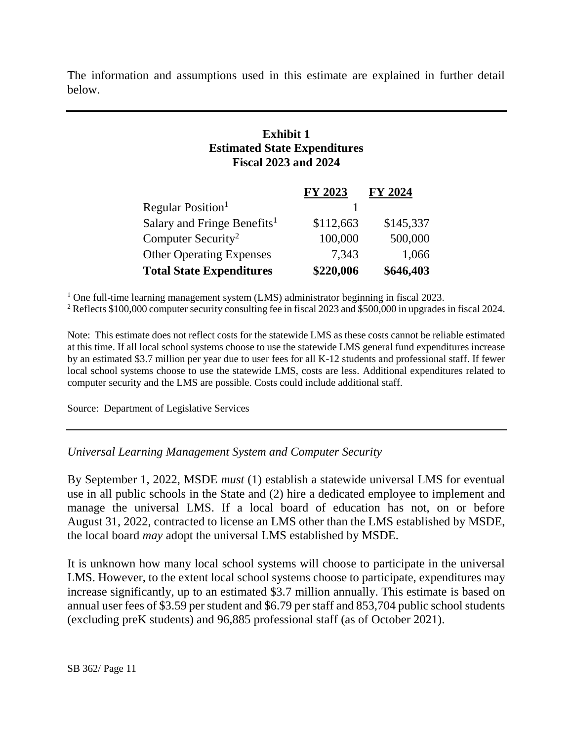The information and assumptions used in this estimate are explained in further detail below.

## **Exhibit 1 Estimated State Expenditures Fiscal 2023 and 2024**

|                                         | FY 2023   | FY 2024   |
|-----------------------------------------|-----------|-----------|
| Regular Position <sup>1</sup>           |           |           |
| Salary and Fringe Benefits <sup>1</sup> | \$112,663 | \$145,337 |
| Computer Security <sup>2</sup>          | 100,000   | 500,000   |
| <b>Other Operating Expenses</b>         | 7,343     | 1,066     |
| <b>Total State Expenditures</b>         | \$220,006 | \$646,403 |

<sup>1</sup> One full-time learning management system (LMS) administrator beginning in fiscal 2023.

<sup>2</sup> Reflects \$100,000 computer security consulting fee in fiscal 2023 and \$500,000 in upgrades in fiscal 2024.

Note: This estimate does not reflect costs for the statewide LMS as these costs cannot be reliable estimated at this time. If all local school systems choose to use the statewide LMS general fund expenditures increase by an estimated \$3.7 million per year due to user fees for all K-12 students and professional staff. If fewer local school systems choose to use the statewide LMS, costs are less. Additional expenditures related to computer security and the LMS are possible. Costs could include additional staff.

Source: Department of Legislative Services

*Universal Learning Management System and Computer Security*

By September 1, 2022, MSDE *must* (1) establish a statewide universal LMS for eventual use in all public schools in the State and (2) hire a dedicated employee to implement and manage the universal LMS. If a local board of education has not, on or before August 31, 2022, contracted to license an LMS other than the LMS established by MSDE, the local board *may* adopt the universal LMS established by MSDE.

It is unknown how many local school systems will choose to participate in the universal LMS. However, to the extent local school systems choose to participate, expenditures may increase significantly, up to an estimated \$3.7 million annually. This estimate is based on annual user fees of \$3.59 per student and \$6.79 per staff and 853,704 public school students (excluding preK students) and 96,885 professional staff (as of October 2021).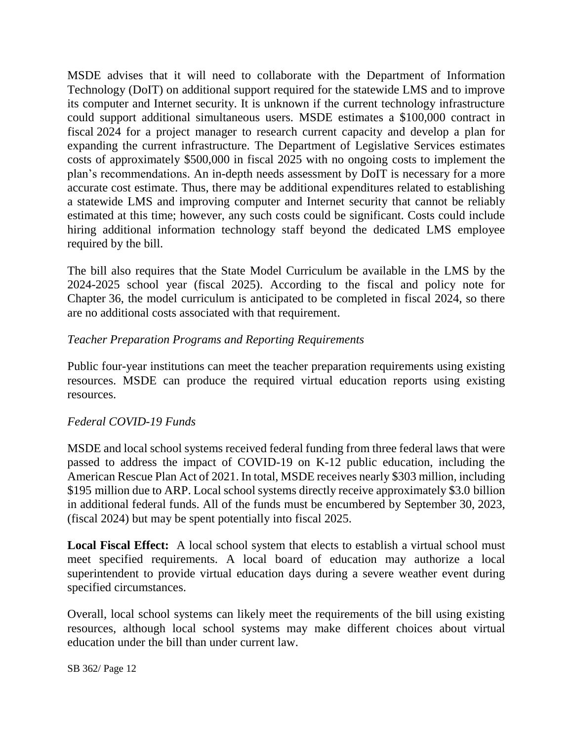MSDE advises that it will need to collaborate with the Department of Information Technology (DoIT) on additional support required for the statewide LMS and to improve its computer and Internet security. It is unknown if the current technology infrastructure could support additional simultaneous users. MSDE estimates a \$100,000 contract in fiscal 2024 for a project manager to research current capacity and develop a plan for expanding the current infrastructure. The Department of Legislative Services estimates costs of approximately \$500,000 in fiscal 2025 with no ongoing costs to implement the plan's recommendations. An in-depth needs assessment by DoIT is necessary for a more accurate cost estimate. Thus, there may be additional expenditures related to establishing a statewide LMS and improving computer and Internet security that cannot be reliably estimated at this time; however, any such costs could be significant. Costs could include hiring additional information technology staff beyond the dedicated LMS employee required by the bill.

The bill also requires that the State Model Curriculum be available in the LMS by the 2024-2025 school year (fiscal 2025). According to the fiscal and policy note for Chapter 36, the model curriculum is anticipated to be completed in fiscal 2024, so there are no additional costs associated with that requirement.

## *Teacher Preparation Programs and Reporting Requirements*

Public four-year institutions can meet the teacher preparation requirements using existing resources. MSDE can produce the required virtual education reports using existing resources.

## *Federal COVID-19 Funds*

MSDE and local school systems received federal funding from three federal laws that were passed to address the impact of COVID-19 on K-12 public education, including the American Rescue Plan Act of 2021. In total, MSDE receives nearly \$303 million, including \$195 million due to ARP. Local school systems directly receive approximately \$3.0 billion in additional federal funds. All of the funds must be encumbered by September 30, 2023, (fiscal 2024) but may be spent potentially into fiscal 2025.

**Local Fiscal Effect:** A local school system that elects to establish a virtual school must meet specified requirements. A local board of education may authorize a local superintendent to provide virtual education days during a severe weather event during specified circumstances.

Overall, local school systems can likely meet the requirements of the bill using existing resources, although local school systems may make different choices about virtual education under the bill than under current law.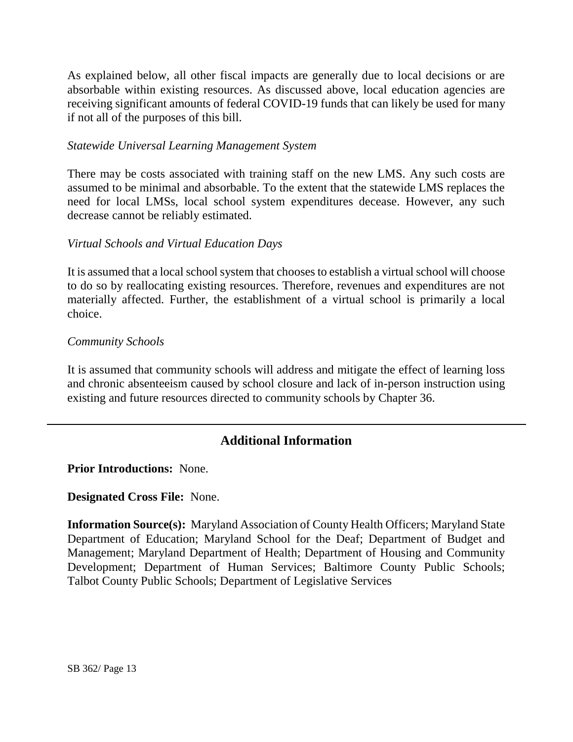As explained below, all other fiscal impacts are generally due to local decisions or are absorbable within existing resources. As discussed above, local education agencies are receiving significant amounts of federal COVID-19 funds that can likely be used for many if not all of the purposes of this bill.

#### *Statewide Universal Learning Management System*

There may be costs associated with training staff on the new LMS. Any such costs are assumed to be minimal and absorbable. To the extent that the statewide LMS replaces the need for local LMSs, local school system expenditures decease. However, any such decrease cannot be reliably estimated.

#### *Virtual Schools and Virtual Education Days*

It is assumed that a local school system that chooses to establish a virtual school will choose to do so by reallocating existing resources. Therefore, revenues and expenditures are not materially affected. Further, the establishment of a virtual school is primarily a local choice.

#### *Community Schools*

It is assumed that community schools will address and mitigate the effect of learning loss and chronic absenteeism caused by school closure and lack of in-person instruction using existing and future resources directed to community schools by Chapter 36.

# **Additional Information**

**Prior Introductions:** None.

**Designated Cross File:** None.

**Information Source(s):** Maryland Association of County Health Officers; Maryland State Department of Education; Maryland School for the Deaf; Department of Budget and Management; Maryland Department of Health; Department of Housing and Community Development; Department of Human Services; Baltimore County Public Schools; Talbot County Public Schools; Department of Legislative Services